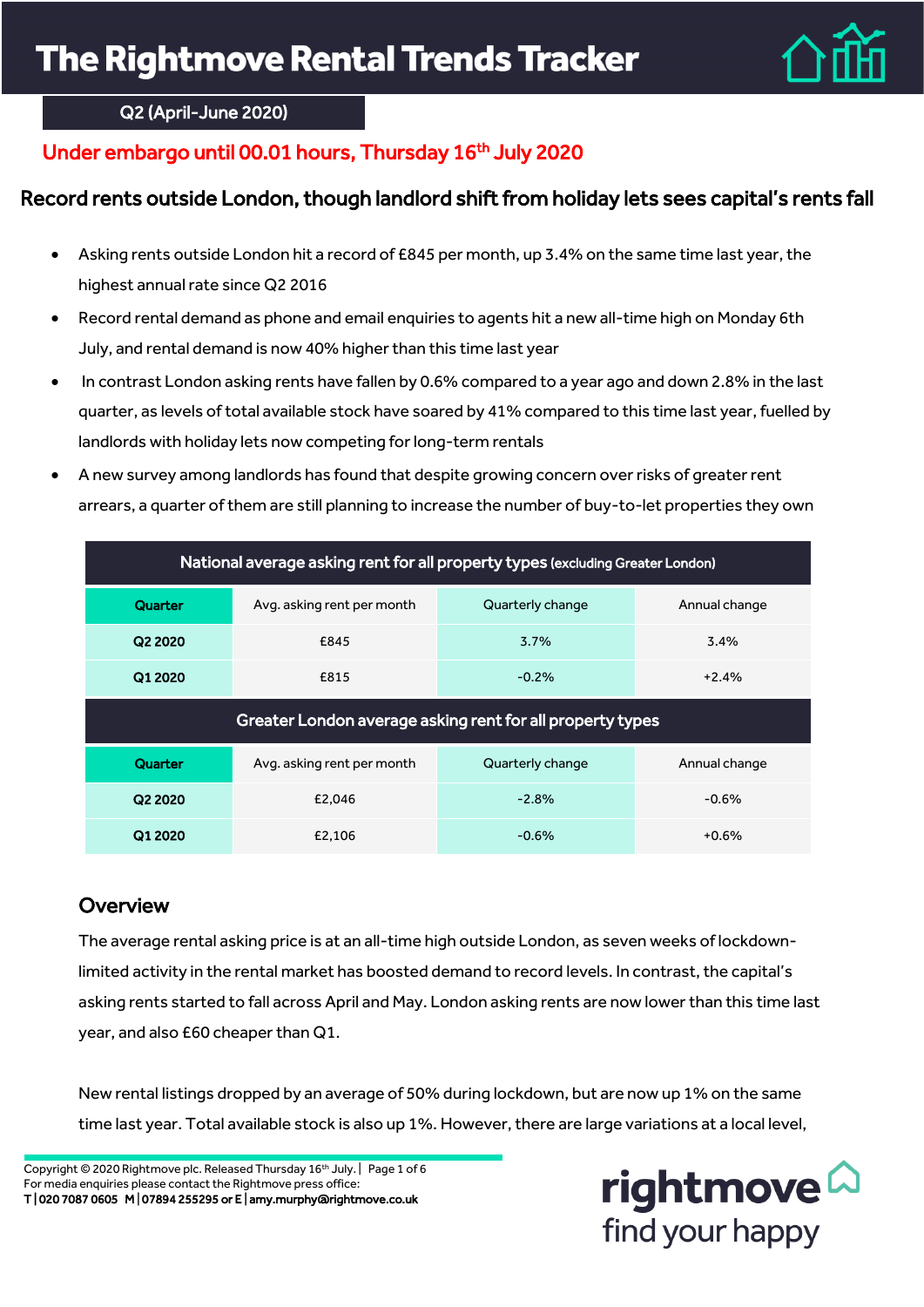

## Q2 (April-June 2020)

# Under embargo until 00.01 hours, Thursday 16<sup>th</sup> July 2020

# Record rents outside London, though landlord shift from holiday lets sees capital's rents fall

- Asking rents outside London hit a record of £845 per month, up 3.4% on the same time last year, the highest annual rate since Q2 2016
- Record rental demand as phone and email enquiries to agents hit a new all-time high on Monday 6th July, and rental demand is now 40% higher than this time last year
- In contrast London asking rents have fallen by 0.6% compared to a year ago and down 2.8% in the last quarter, as levels of total available stock have soared by 41% compared to this time last year, fuelled by landlords with holiday lets now competing for long-term rentals
- A new survey among landlords has found that despite growing concern over risks of greater rent arrears, a quarter of them are still planning to increase the number of buy-to-let properties they own

| National average asking rent for all property types (excluding Greater London) |                            |                  |               |  |
|--------------------------------------------------------------------------------|----------------------------|------------------|---------------|--|
| Quarter                                                                        | Avg. asking rent per month | Quarterly change | Annual change |  |
| Q2 2020                                                                        | £845                       | 3.7%             | 3.4%          |  |
| Q1 2020                                                                        | £815                       | $-0.2%$          | $+2.4%$       |  |
| Greater London average asking rent for all property types                      |                            |                  |               |  |
| Quarter                                                                        | Avg. asking rent per month | Quarterly change | Annual change |  |
| Q2 2020                                                                        | £2.046                     | $-2.8%$          | $-0.6%$       |  |
|                                                                                |                            |                  |               |  |

# **Overview**

The average rental asking price is at an all-time high outside London, as seven weeks of lockdownlimited activity in the rental market has boosted demand to record levels. In contrast, the capital's asking rents started to fall across April and May. London asking rents are now lower than this time last year, and also £60 cheaper than Q1.

New rental listings dropped by an average of 50% during lockdown, but are now up 1% on the same time last year. Total available stock is also up 1%. However, there are large variations at a local level,

Copyright © 2020 Rightmove plc. Released Thursday 16th July. | Page 1 of 6 For media enquiries please contact the Rightmove press office: T | 020 7087 0605 M | 07894 255295 or E | amy.murphy@rightmove.co.uk

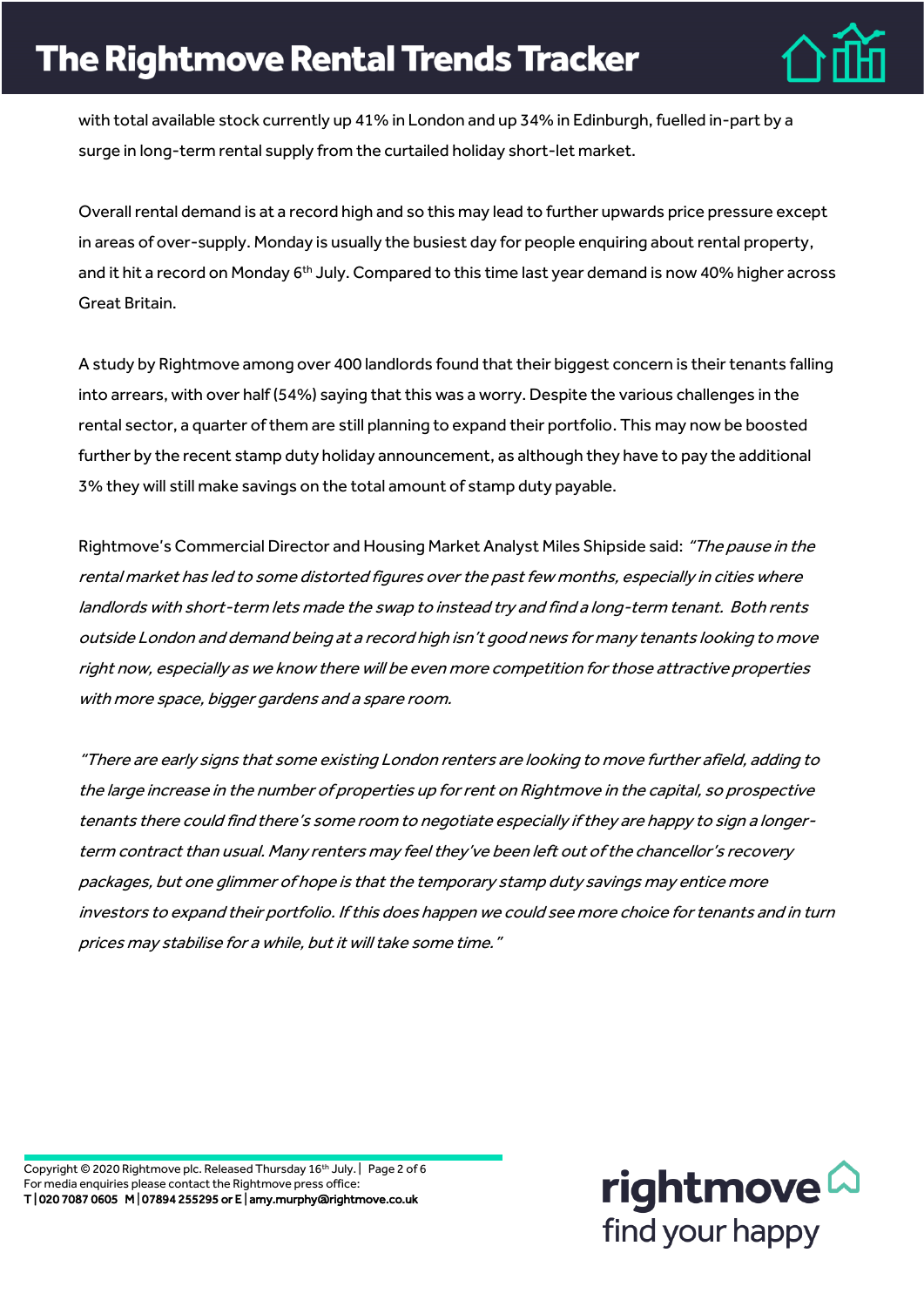

with total available stock currently up 41% in London and up 34% in Edinburgh, fuelled in-part by a surge in long-term rental supply from the curtailed holiday short-let market.

Overall rental demand is at a record high and so this may lead to further upwards price pressure except in areas of over-supply. Monday is usually the busiest day for people enquiring about rental property, and it hit a record on Monday 6<sup>th</sup> July. Compared to this time last year demand is now 40% higher across Great Britain.

A study by Rightmove among over 400 landlords found that their biggest concern is their tenants falling into arrears, with over half (54%) saying that this was a worry. Despite the various challenges in the rental sector, a quarter of them are still planning to expand their portfolio. This may now be boosted further by the recent stamp duty holiday announcement, as although they have to pay the additional 3% they will still make savings on the total amount of stamp duty payable.

Rightmove's Commercial Director and Housing Market Analyst Miles Shipside said: "The pause in the rental market has led to some distorted figures over the past few months, especially in cities where landlords with short-term lets made the swap to instead try and find a long-term tenant. Both rents outside London and demand being at a record high isn't good news for many tenants looking to move right now, especially as we know there will be even more competition for those attractive properties with more space, bigger gardens and a spare room.

"There are early signs that some existing London renters are looking to move further afield, adding to the large increase in the number of properties up for rent on Rightmove in the capital, so prospective tenants there could find there's some room to negotiate especially if they are happy to sign a longerterm contract than usual. Many renters may feel they've been left out of the chancellor's recovery packages, but one glimmer of hope is that the temporary stamp duty savings may entice more investors to expand their portfolio. If this does happen we could see more choice for tenants and in turn prices may stabilise for a while, but it will take some time."

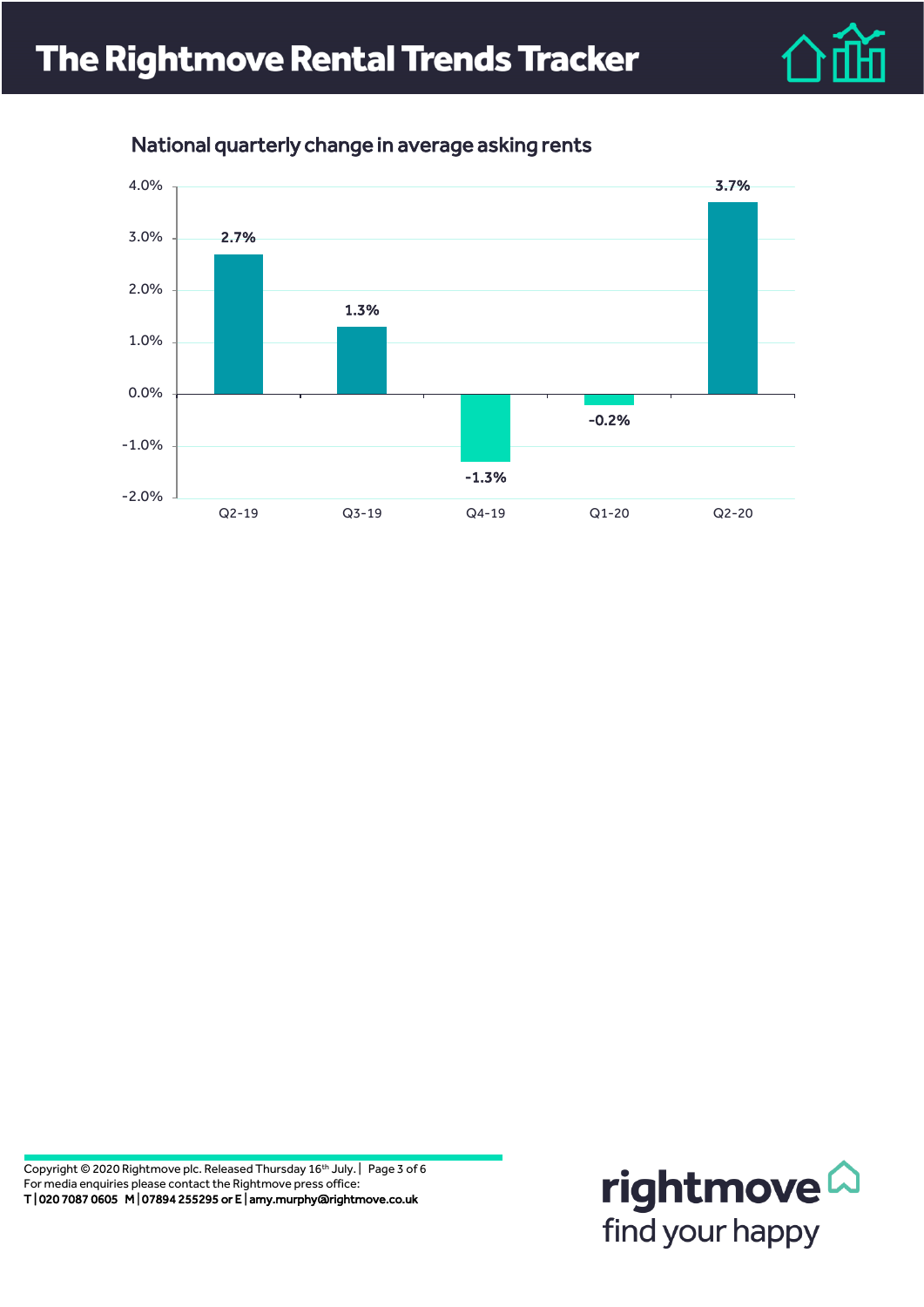



## National quarterly change in average asking rents

Copyright © 2020 Rightmove plc. Released Thursday 16<sup>th</sup> July. | Page 3 of 6 For media enquiries please contact the Rightmove press office: T | 020 7087 0605 M | 07894 255295 or E | amy.murphy@rightmove.co.uk

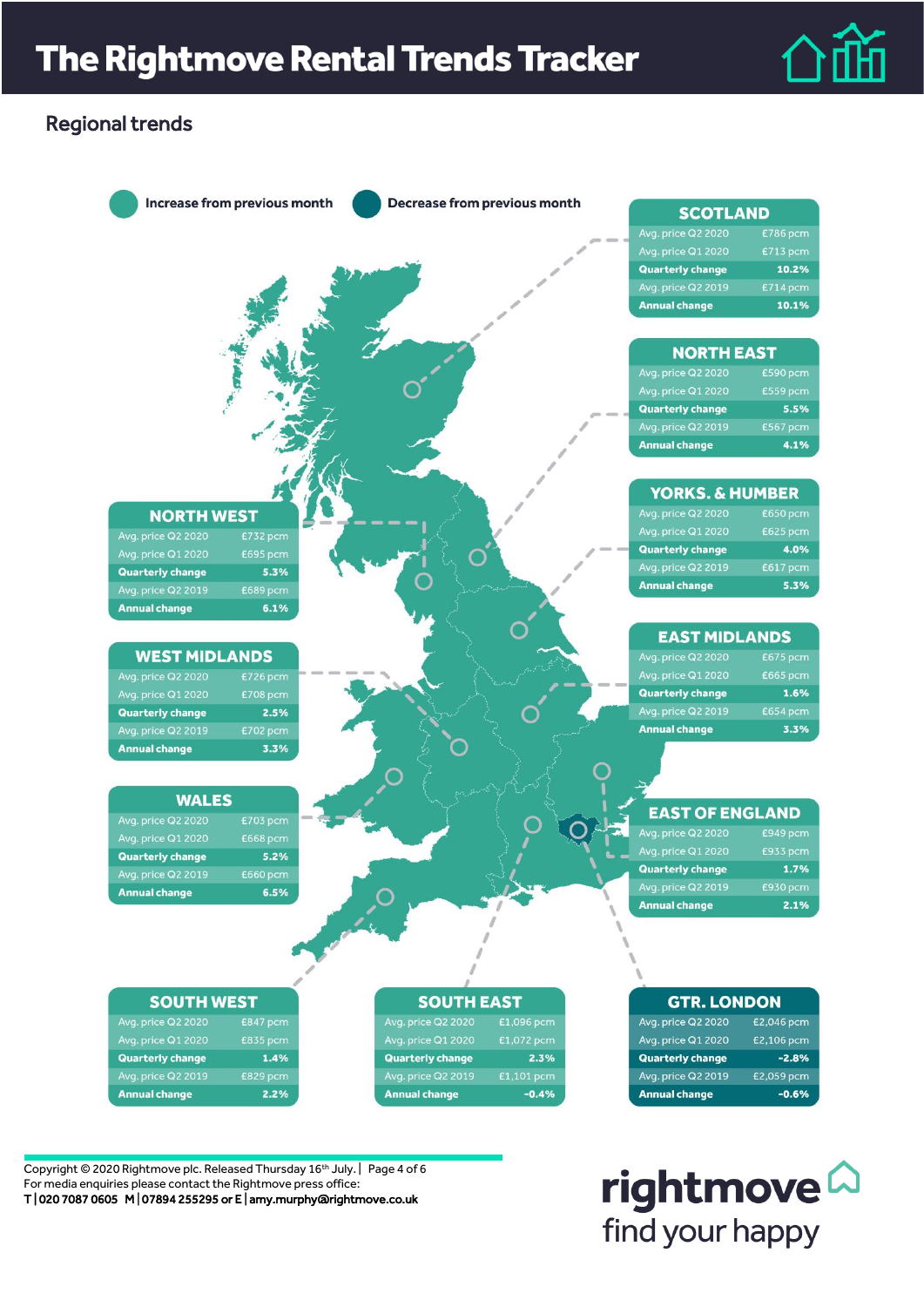

## Regional trends



Copyright © 2020 Rightmove plc. Released Thursday 16th July. | Page 4 of 6 For media enquiries please contact the Rightmove press office: T | 020 7087 0605 M | 07894 255295 or E | amy.murphy@rightmove.co.uk

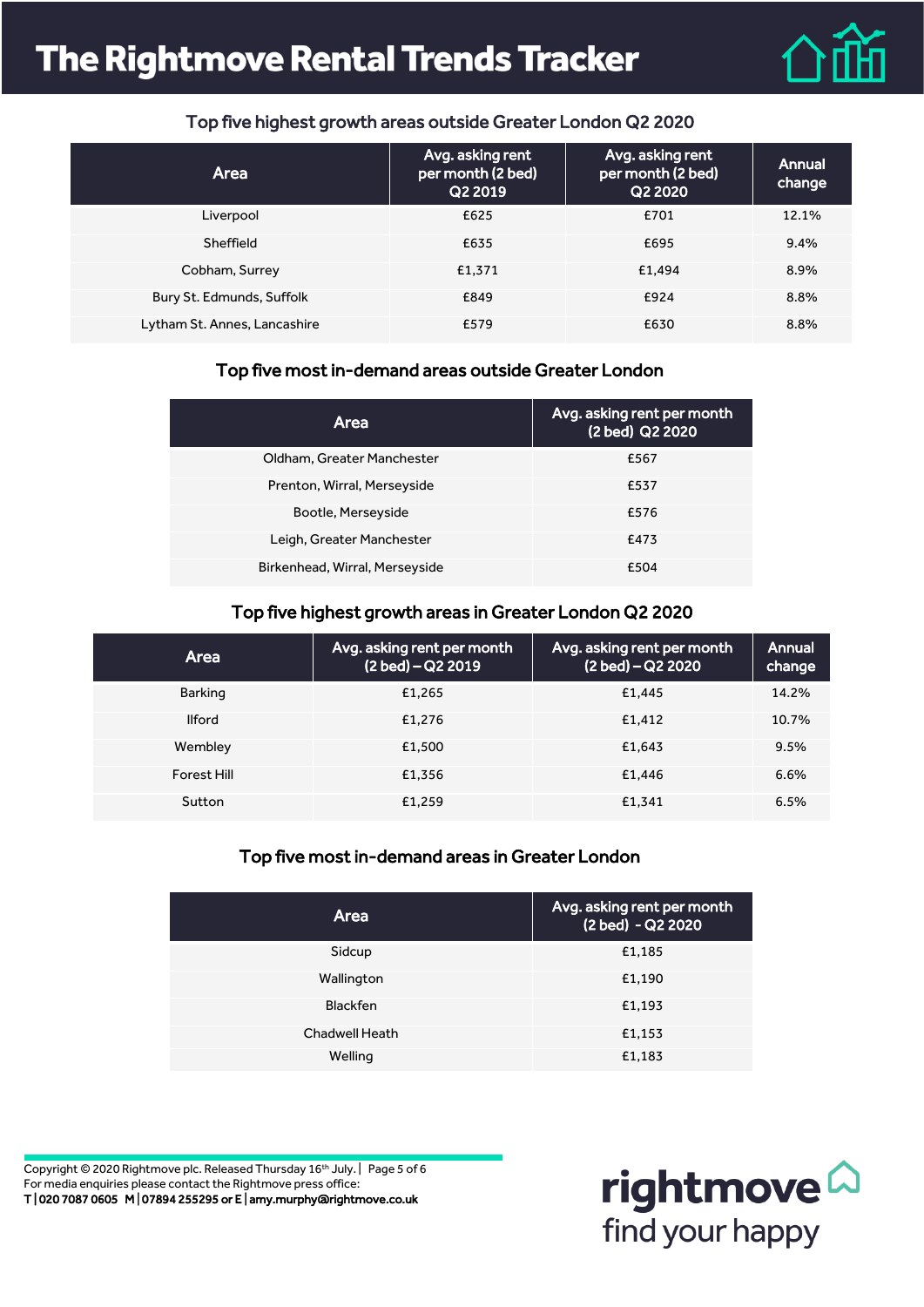# **The Rightmove Rental Trends Tracker**



### Top five highest growth areas outside Greater London Q2 2020

| Area                         | Avg. asking rent<br>per month (2 bed)<br>Q2 2019 | Avg. asking rent<br>per month (2 bed)<br>Q2 2020 | Annual<br>change |
|------------------------------|--------------------------------------------------|--------------------------------------------------|------------------|
| Liverpool                    | £625                                             | £701                                             | 12.1%            |
| Sheffield                    | £635                                             | £695                                             | $9.4\%$          |
| Cobham, Surrey               | £1.371                                           | £1.494                                           | 8.9%             |
| Bury St. Edmunds, Suffolk    | £849                                             | £924                                             | 8.8%             |
| Lytham St. Annes, Lancashire | £579                                             | £630                                             | 8.8%             |

### Top five most in-demand areas outside Greater London

| Area                           | Avg. asking rent per month<br>(2 bed) Q2 2020 |
|--------------------------------|-----------------------------------------------|
| Oldham, Greater Manchester     | £567                                          |
| Prenton, Wirral, Merseyside    | £537                                          |
| Bootle, Merseyside             | £576                                          |
| Leigh, Greater Manchester      | £473                                          |
| Birkenhead, Wirral, Merseyside | £504                                          |

### Top five highest growth areas in Greater London Q2 2020

| <b>Area</b>   | Avg. asking rent per month<br>(2 bed) - Q2 2019 | Avg. asking rent per month<br>(2 bed) – Q2 2020 | Annual<br>change |
|---------------|-------------------------------------------------|-------------------------------------------------|------------------|
| Barking       | £1,265                                          | £1.445                                          | 14.2%            |
| <b>Ilford</b> | £1.276                                          | £1.412                                          | 10.7%            |
| Wembley       | £1,500                                          | £1.643                                          | 9.5%             |
| Forest Hill   | £1.356                                          | £1,446                                          | 6.6%             |
| Sutton        | £1.259                                          | £1,341                                          | 6.5%             |

### Top five most in-demand areas in Greater London

| <b>Area</b>           | Avg. asking rent per month<br>(2 bed) - Q2 2020 |
|-----------------------|-------------------------------------------------|
| Sidcup                | £1,185                                          |
| Wallington            | £1,190                                          |
| <b>Blackfen</b>       | £1,193                                          |
| <b>Chadwell Heath</b> | £1,153                                          |
| Welling               | £1,183                                          |

Copyright © 2020 Rightmove plc. Released Thursday 16th July. | Page 5 of 6 For media enquiries please contact the Rightmove press office: T | 020 7087 0605 M | 07894 255295 or E | amy.murphy@rightmove.co.uk